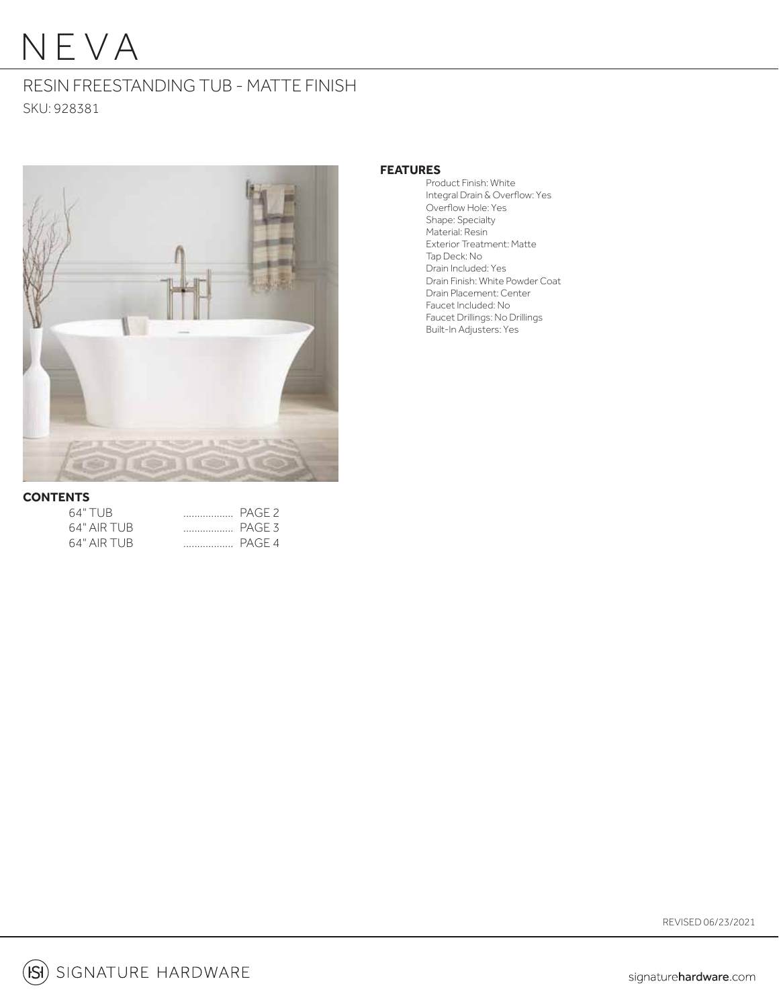# NEVA

## RESIN FREESTANDING TUB - MATTE FINISH SKU: 928381



#### **FEATURES**

 Product Finish: White Integral Drain & Overflow: Yes Overflow Hole: Yes Shape: Specialty Material: Resin Exterior Treatment: Matte Tap Deck: No Drain Included: Yes Drain Finish: White Powder Coat Drain Placement: Center Faucet Included: No Faucet Drillings: No Drillings Built-In Adjusters: Yes

#### **CONTENTS**

| 64" TUB.     |  |
|--------------|--|
| 64" AIR TUB  |  |
| 64" AIR TURI |  |

REVISED 06/23/2021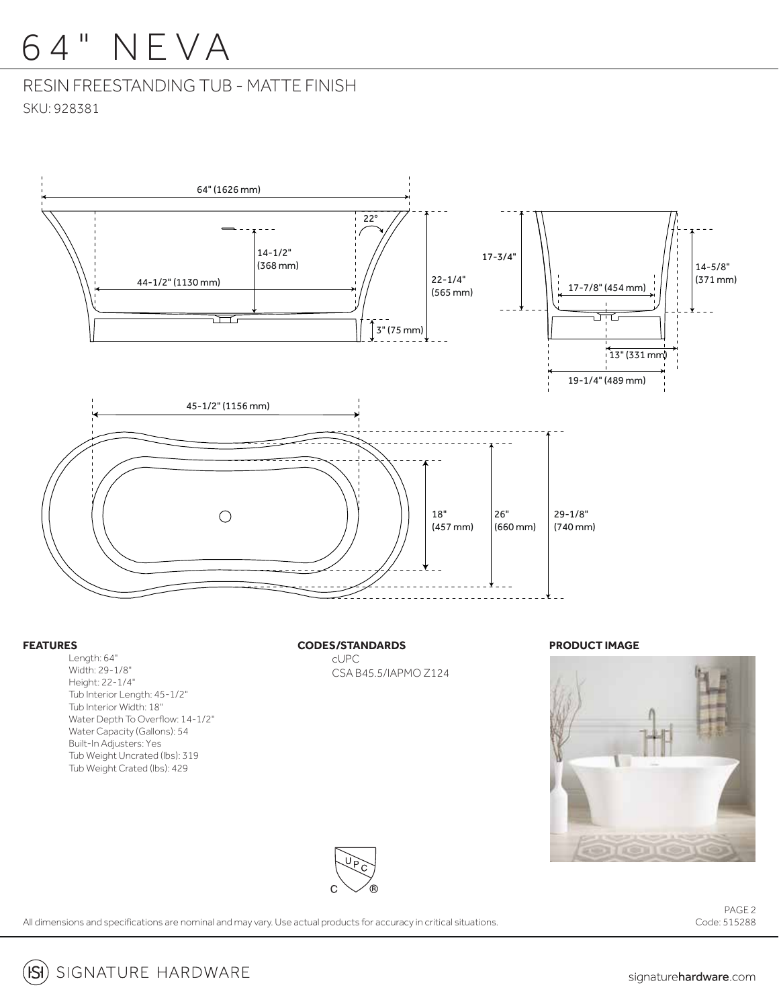# 6 4 " NEVA

## RESIN FREESTANDING TUB - MATTE FINISH SKU: 928381



#### **FEATURES**

 Length: 64" Width: 29-1/8" Height: 22-1/4" Tub Interior Length: 45-1/2" Tub Interior Width: 18" Water Depth To Overflow: 14-1/2" Water Capacity (Gallons): 54 Built-In Adjusters: Yes Tub Weight Uncrated (lbs): 319 Tub Weight Crated (lbs): 429

**CODES/STANDARDS**

cUPC CSA B45.5/IAPMO Z124

#### **PRODUCT IMAGE**





All dimensions and specifications are nominal and may vary. Use actual products for accuracy in critical situations.

PAGE 2 Code: 515288

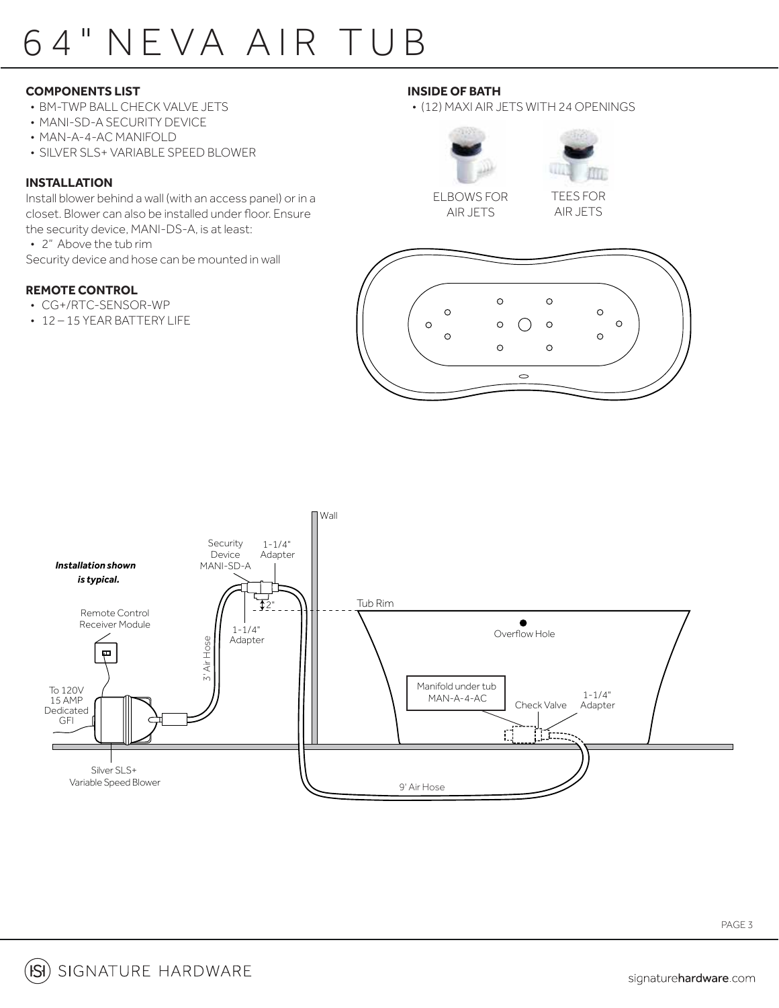# 6 4 " NE VA AIR TU B

### **COMPONENTS LIST**

- BM-TWP BALL CHECK VALVE JETS
- MANI-SD-A SECURITY DEVICE
- MAN-A-4-AC MANIFOLD
- SILVER SLS+ VARIABLE SPEED BLOWER

### **INSTALLATION**

Install blower behind a wall (with an access panel) or in a closet. Blower can also be installed under floor. Ensure the security device, MANI-DS-A, is at least:

• 2" Above the tub rim

Security device and hose can be mounted in wall

### **REMOTE CONTROL**

- CG+/RTC-SENSOR-WP
- 12 15 YEAR BATTERY LIFE

### **INSIDE OF BATH**

### • (12) MAXI AIR JETS WITH 24 OPENINGS





ELBOWS FOR AIR JETS

TEES FOR AIR JETS





PAGE 3